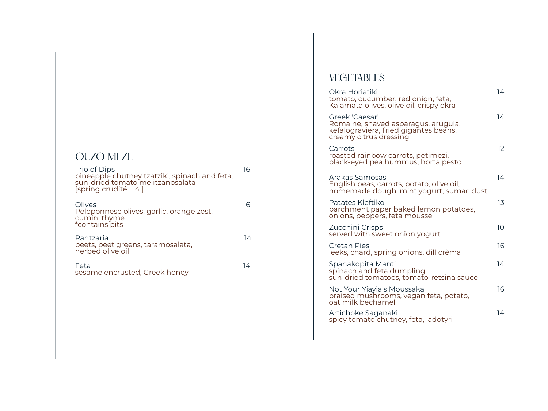## OUZO MEZE

| Trio of Dips<br>pineapple chutney tzatziki, spinach and feta,<br>sun-dried tomato melitzanosalata<br>[spring crudité +4] | 16 |
|--------------------------------------------------------------------------------------------------------------------------|----|
| Olives<br>Peloponnese olives, garlic, orange zest,<br>cumin, thyme<br>*contains pits                                     |    |
| Pantzaria<br>beets, beet greens, taramosalata,<br>herbed olive oil                                                       | 14 |
| Feta<br>sesame encrusted, Greek honey                                                                                    | 14 |
|                                                                                                                          |    |

## **VEGETABLES**

| Okra Horiatiki<br>tomato, cucumber, red onion, feta,<br>Kalamata olives, olive oil, crispy okra                          | 14 |
|--------------------------------------------------------------------------------------------------------------------------|----|
| Greek 'Caesar'<br>Romaine, shaved asparagus, arugula,<br>kefalograviera, fried gigantes beans,<br>creamy citrus dressing | 14 |
| Carrots<br>roasted rainbow carrots, petimezi,<br>black-eyed pea hummus, horta pesto                                      | 12 |
| Arakas Samosas<br>English peas, carrots, potato, olive oil,<br>homemade dough, mint yogurt, sumac dust                   | 14 |
| Patates Kleftiko<br>parchment paper baked lemon potatoes,<br>onions, peppers, feta mousse                                | 13 |
| Zucchini Crisps<br>served with sweet onion yogurt                                                                        | 10 |
| Cretan Pies<br>leeks, chard, spring onions, dill crèma                                                                   | 16 |
| Spanakopita Manti<br>spinach and feta dumpling,<br>sun-dried tomatoes, tomato-retsina sauce                              | 14 |
| Not Your Yiayia's Moussaka<br>braised mushrooms, vegan feta, potato,<br>oat milk bechamel                                | 16 |
| Artichoke Saganaki<br>spicy tomato chutney, feta, ladotyri                                                               | 14 |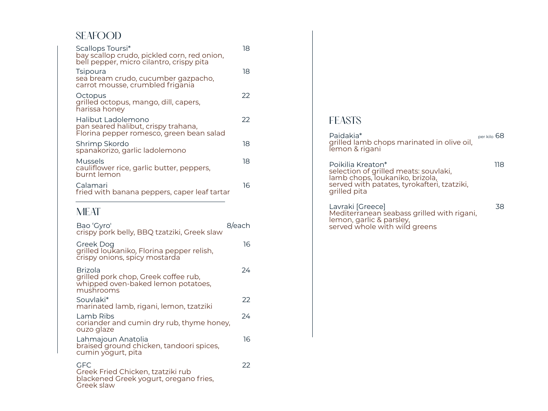## SEAFOOD

| Scallops Toursi*<br>bay scallop crudo, pickled corn, red onion,<br>bell pepper, micro cilantro, crispy pita | 18 |
|-------------------------------------------------------------------------------------------------------------|----|
| <b>Tsipoura</b><br>sea bream crudo, cucumber gazpacho,<br>carrot mousse, crumbled frigania                  | 18 |
| Octopus<br>grilled octopus, mango, dill, capers,<br>harissa honey                                           | 22 |
| Halibut Ladolemono<br>pan seared halibut, crispy trahana,<br>Florina pepper romesco, green bean salad       | 22 |
| Shrimp Skordo<br>spanakorizo, garlic ladolemono                                                             | 18 |
| Mussels<br>cauliflower rice, garlic butter, peppers,<br>burnt lemon                                         | 18 |
| Calamari<br>fried with banana peppers, caper leaf tartar                                                    | 16 |

#### **MEAT**

| Bao 'Gyro'<br>crispy pork belly, BBQ tzatziki, Greek slaw                                          | 8/each |
|----------------------------------------------------------------------------------------------------|--------|
| Greek Dog<br>grilled loukaniko, Florina pepper relish,<br>crispy onions, spicy mostarda            | 16     |
| Brizola<br>grilled pork chop, Greek coffee rub,<br>whipped oven-baked lemon potatoes,<br>mushrooms | 24     |
| Souvlaki*<br>marinated lamb, rigani, lemon, tzatziki                                               | 22     |
| Lamb Ribs<br>coriander and cumin dry rub, thyme honey,<br>ouzo glaze                               | 24     |
| Lahmajoun Anatolia<br>braised ground chicken, tandoori spices,<br>cumin yogurt, pita               | 16     |
| GFC.<br>Greek Fried Chicken, tzatziki rub<br>blackened Greek yogurt, oregano fries,<br>Greek slaw  | 22     |

## FEASTS

Paidakia\* Paidakia bertuk menggalan kecamatan per kilo 68 grilled lamb chops marinated in olive oil, lemon & rigani

Poikilia Kreaton\* 118 selection of grilled meats: souvlaki, lamb chops, loukaniko, brizola, served with patates, tyrokafteri, tzatziki, grilled pita

Lavraki [Greece] 38 Mediterranean seabass grilled with rigani, lemon, garlic & parsley, served whole with wild greens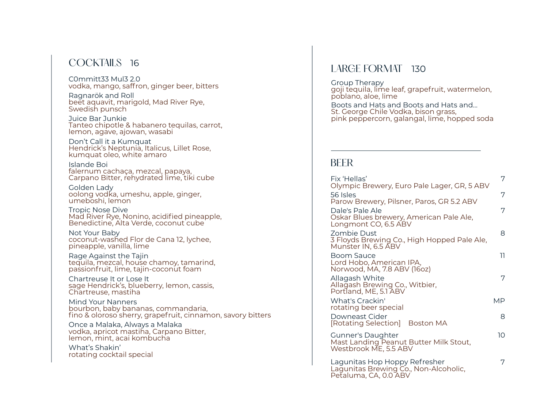## COCKTAILS 16

C0mmitt33 Mul3 2.0 vodka, mango, saffron, ginger beer, bitters

Ragnarök and Roll beet aquavit, marigold, Mad River Rye, Swedish punsch

Juice Bar Junkie Tanteo chipotle & habanero tequilas, carrot, lemon, agave, ajowan, wasabi

Don't Call it a Kumquat Hendrick's Neptunia, Italicus, Lillet Rose, kumquat oleo, white amaro

Islande Boi falernum cachaça, mezcal, papaya, Carpano Bitter, rehydrated lime, tiki cube

Golden Lady oolong vodka, umeshu, apple, ginger, umeboshi, lemon

Tropic Nose Dive Mad River Rye, Nonino, acidified pineapple, Benedictine, Alta Verde, coconut cube

Not Your Baby coconut-washed Flor de Cana 12, lychee, pineapple, vanilla, lime

Rage Against the Tajin tequila, mezcal, house chamoy, tamarind, passionfruit, lime, tajin-coconut foam

Chartreuse It or Lose It sage Hendrick's, blueberry, lemon, cassis, Chartreuse, mastiha

Mind Your Nanners bourbon, baby bananas, commandaria, fino & oloroso sherry, grapefruit, cinnamon, savory bitters

Once a Malaka, Always a Malaka vodka, apricot mastiha, Carpano Bitter, lemon, mint, acai kombucha

What's Shakin' rotating cocktail special

## LARGE FORMAT 130

Group Therapy goji tequila, lime leaf, grapefruit, watermelon, poblano, aloe, lime

Boots and Hats and Boots and Hats and… St. George Chile Vodka, bison grass, pink peppercorn, galangal, lime, hopped soda

#### BEER

| Fix 'Hellas'<br>Olympic Brewery, Euro Pale Lager, GR, 5 ABV                                     | 7  |
|-------------------------------------------------------------------------------------------------|----|
| 56 Isles<br>Parow Brewery, Pilsner, Paros, GR 5.2 ABV                                           | 7  |
| Dale's Pale Ale<br>Oskar Blues brewery, American Pale Ale,<br>Longmont CO, 6.5 ABV              | 7  |
| Zombie Dust<br>3 Floyds Brewing Co., High Hopped Pale Ale,<br>Munster IN, 6.5 ABV               | 8  |
| <b>Boom Sauce</b><br>Lord Hobo, American IPA,<br>Norwood, MA, 7.8 ABV (16oz)                    | 11 |
| Allagash White<br>Allağash Brewing Co., Witbier,<br>Portland, ME, 5.1 ABV                       | 7  |
| <b>What's Crackin'</b><br>rotating beer special                                                 | MP |
| Downeast Cider<br>[Rotating Selection] Boston MA                                                | 8  |
| <b>Gunner's Daughter</b><br>Mast Landing Peanut Butter Milk Stout,<br>Westbrook ME, 5.5 ABV     | 10 |
| Lagunitas Hop Hoppy Refresher<br>Lagunitas Brewing Co., Non-Alcoholic,<br>Petaluma, CA, 0.0 ABV | 7  |